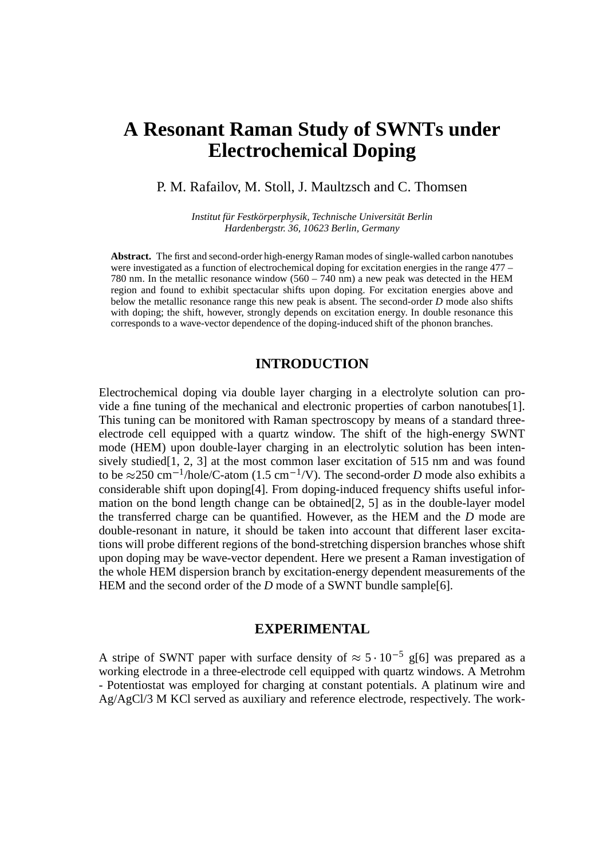# **A Resonant Raman Study of SWNTs under Electrochemical Doping**

## P. M. Rafailov, M. Stoll, J. Maultzsch and C. Thomsen

*Institut für Festkörperphysik, Technische Universität Berlin Hardenbergstr. 36, 10623 Berlin, Germany*

Abstract. The first and second-order high-energy Raman modes of single-walled carbon nanotubes were investigated as a function of electrochemical doping for excitation energies in the range 477 – 780 nm. In the metallic resonance window  $(560 - 740)$  nm a new peak was detected in the HEM region and found to exhibit spectacular shifts upon doping. For excitation energies above and below the metallic resonance range this new peak is absent. The second-order *D* mode also shifts with doping; the shift, however, strongly depends on excitation energy. In double resonance this corresponds to a wave-vector dependence of the doping-induced shift of the phonon branches.

## **INTRODUCTION**

Electrochemical doping via double layer charging in a electrolyte solution can provide a fine tuning of the mechanical and electronic properties of carbon nanotubes[1]. This tuning can be monitored with Raman spectroscopy by means of a standard threeelectrode cell equipped with a quartz window. The shift of the high-energy SWNT mode (HEM) upon double-layer charging in an electrolytic solution has been intensively studied<sup>[1, 2, 3]</sup> at the most common laser excitation of 515 nm and was found to be  $\approx$  250 cm<sup>-1</sup>/hole/C-atom (1.5 cm<sup>-1</sup>/V). The second-order *D* mode also exhibits a considerable shift upon doping[4]. From doping-induced frequency shifts useful information on the bond length change can be obtained[2, 5] as in the double-layer model the transferred charge can be quantified. However, as the HEM and the *D* mode are double-resonant in nature, it should be taken into account that different laser excitations will probe different regions of the bond-stretching dispersion branches whose shift upon doping may be wave-vector dependent. Here we present a Raman investigation of the whole HEM dispersion branch by excitation-energy dependent measurements of the HEM and the second order of the *D* mode of a SWNT bundle sample[6].

#### **EXPERIMENTAL**

A stripe of SWNT paper with surface density of  $\approx 5 \cdot 10^{-5}$  g[6] was prepared as a working electrode in a three-electrode cell equipped with quartz windows. A Metrohm - Potentiostat was employed for charging at constant potentials. A platinum wire and Ag/AgCl/3 M KCl served as auxiliary and reference electrode, respectively. The work-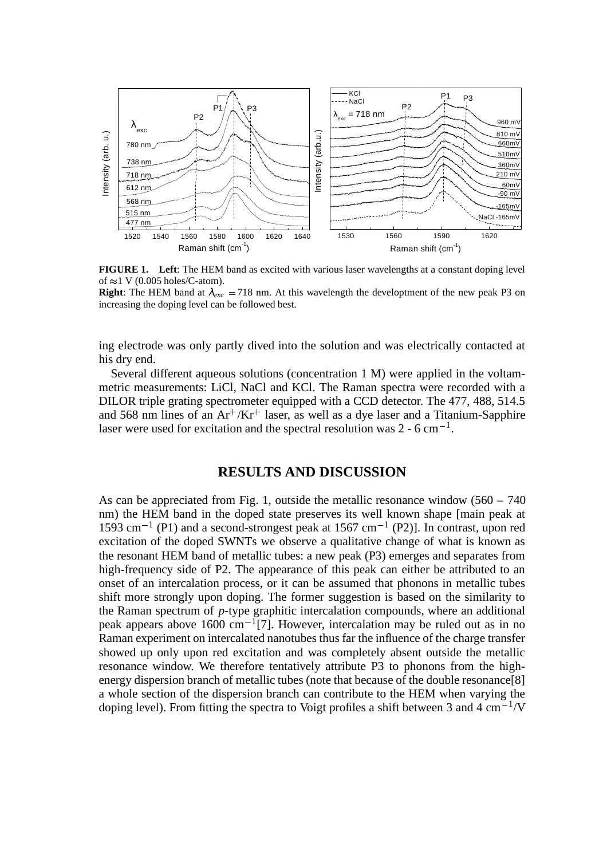

**FIGURE 1. Left**: The HEM band as excited with various laser wavelengths at a constant doping level of  $\approx$  1 V (0.005 holes/C-atom).

**Right**: The HEM band at  $\lambda_{exc} = 718$  nm. At this wavelength the developtment of the new peak P3 on increasing the doping level can be followed best.

ing electrode was only partly dived into the solution and was electrically contacted at his dry end.

Several different aqueous solutions (concentration 1 M) were applied in the voltammetric measurements: LiCl, NaCl and KCl. The Raman spectra were recorded with a DILOR triple grating spectrometer equipped with a CCD detector. The 477, 488, 514.5 and 568 nm lines of an  $Ar^+/Kr^+$  laser, as well as a dye laser and a Titanium-Sapphire laser were used for excitation and the spectral resolution was  $2 - 6 \text{ cm}^{-1}$ .

### **RESULTS AND DISCUSSION**

As can be appreciated from Fig. 1, outside the metallic resonance window  $(560 - 740)$ nm) the HEM band in the doped state preserves its well known shape [main peak at 1593 cm<sup>-1</sup> (P1) and a second-strongest peak at 1567 cm<sup>-1</sup> (P2)]. In contrast, upon red excitation of the doped SWNTs we observe a qualitative change of what is known as the resonant HEM band of metallic tubes: a new peak (P3) emerges and separates from high-frequency side of P2. The appearance of this peak can either be attributed to an onset of an intercalation process, or it can be assumed that phonons in metallic tubes shift more strongly upon doping. The former suggestion is based on the similarity to the Raman spectrum of *p*-type graphitic intercalation compounds, where an additional peak appears above  $1600 \text{ cm}^{-1}$ [7]. However, intercalation may be ruled out as in no Raman experiment on intercalated nanotubes thus far the influence of the charge transfer showed up only upon red excitation and was completely absent outside the metallic resonance window. We therefore tentatively attribute P3 to phonons from the highenergy dispersion branch of metallic tubes (note that because of the double resonance[8] a whole section of the dispersion branch can contribute to the HEM when varying the doping level). From fitting the spectra to Voigt profiles a shift between 3 and 4  $\text{cm}^{-1}/\text{V}$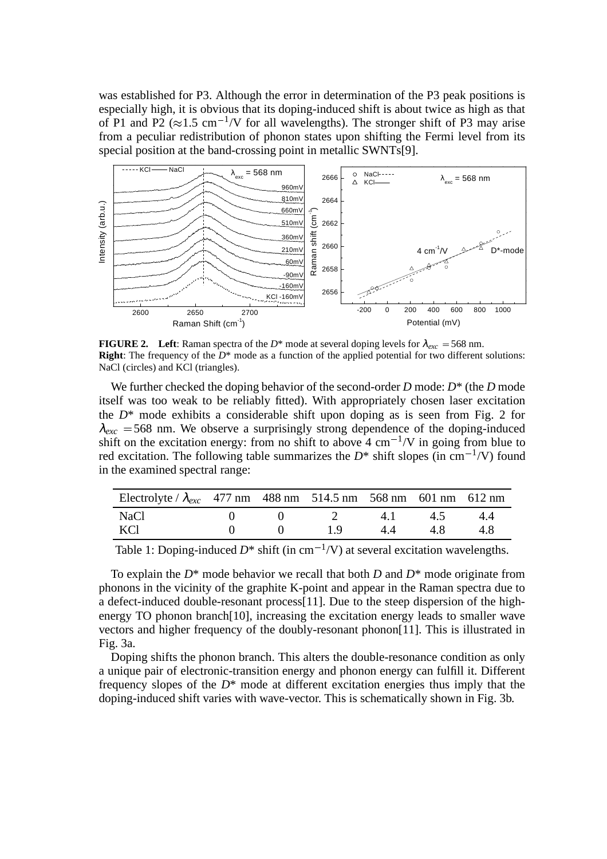was established for P3. Although the error in determination of the P3 peak positions is especially high, it is obvious that its doping-induced shift is about twice as high as that of P1 and P2 ( $\approx$ 1.5 cm<sup>-1</sup>/V for all wavelengths). The stronger shift of P3 may arise from a peculiar redistribution of phonon states upon shifting the Fermi level from its special position at the band-crossing point in metallic SWNTs[9].



**FIGURE 2.** Left: Raman spectra of the  $D^*$  mode at several doping levels for  $\lambda_{exc} = 568$  nm. **Right**: The frequency of the *D*<sup>\*</sup> mode as a function of the applied potential for two different solutions: NaCl (circles) and KCl (triangles).

We further checked the doping behavior of the second-order *D* mode: *D*\* (the *D* mode itself was too weak to be reliably fitted). With appropriately chosen laser excitation the  $D^*$  mode exhibits a considerable shift upon doping as is seen from Fig. 2 for  $\lambda_{\text{exc}}$  = 568 nm. We observe a surprisingly strong dependence of the doping-induced shift on the excitation energy: from no shift to above  $4 \text{ cm}^{-1}/\text{V}$  in going from blue to red excitation. The following table summarizes the  $D^*$  shift slopes (in cm<sup>-1</sup>/V) found in the examined spectral range:

| Electrolyte / $\lambda_{exc}$ 477 nm 488 nm 514.5 nm 568 nm 601 nm 612 nm |  |          |    |     |     |
|---------------------------------------------------------------------------|--|----------|----|-----|-----|
| NaCl                                                                      |  | $\gamma$ | 41 | 4.5 | 44  |
| KCl                                                                       |  | 19       | 44 | 4 X | 4 X |

Table 1: Doping-induced  $D^*$  shift (in cm<sup>-1</sup>/V) at several excitation wavelengths.

To explain the *D*\* mode behavior we recall that both *D* and *D*\* mode originate from phonons in the vicinity of the graphite K-point and appear in the Raman spectra due to a defect-induced double-resonant process[11]. Due to the steep dispersion of the highenergy TO phonon branch[10], increasing the excitation energy leads to smaller wave vectors and higher frequency of the doubly-resonant phonon[11]. This is illustrated in Fig. 3a.

Doping shifts the phonon branch. This alters the double-resonance condition as only a unique pair of electronic-transition energy and phonon energy can fulfill it. Different frequency slopes of the *D*\* mode at different excitation energies thus imply that the doping-induced shift varies with wave-vector. This is schematically shown in Fig. 3b.